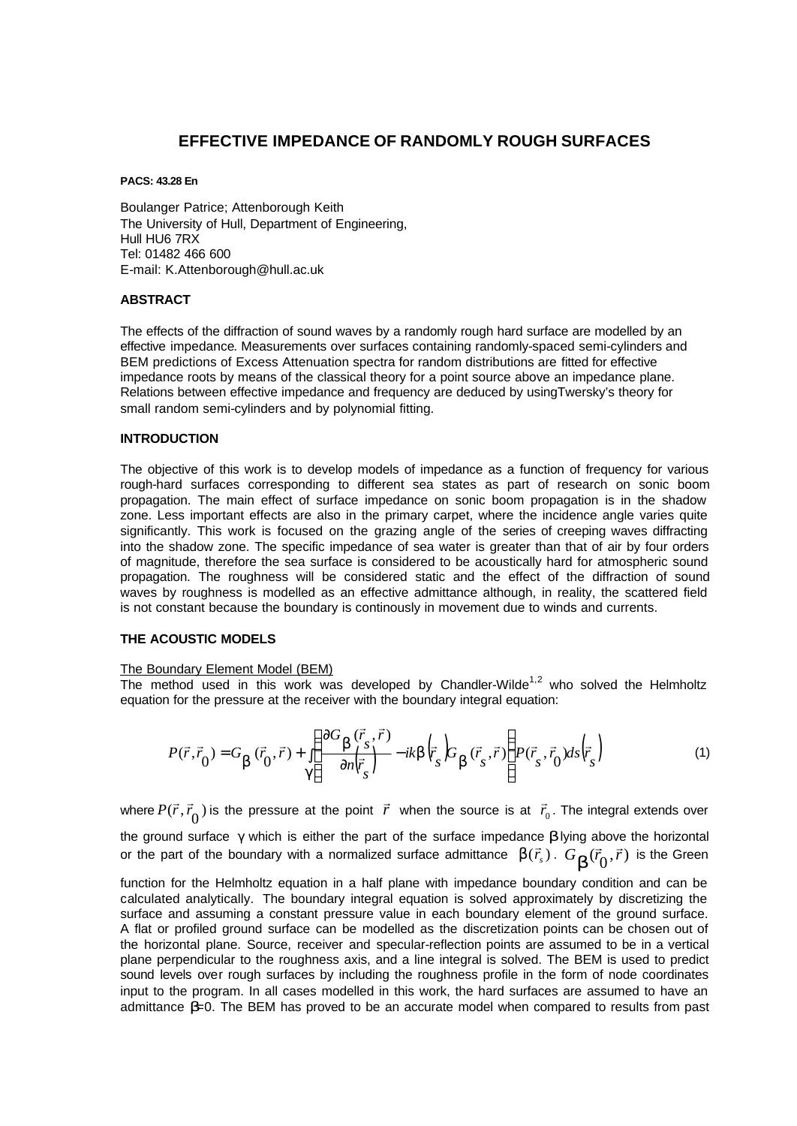# **EFFECTIVE IMPEDANCE OF RANDOMLY ROUGH SURFACES**

**PACS: 43.28 En**

Boulanger Patrice; Attenborough Keith The University of Hull, Department of Engineering, Hull HU6 7RX Tel: 01482 466 600 E-mail: K.Attenborough@hull.ac.uk

## **ABSTRACT**

The effects of the diffraction of sound waves by a randomly rough hard surface are modelled by an effective impedance. Measurements over surfaces containing randomly-spaced semi-cylinders and BEM predictions of Excess Attenuation spectra for random distributions are fitted for effective impedance roots by means of the classical theory for a point source above an impedance plane. Relations between effective impedance and frequency are deduced by usingTwersky's theory for small random semi-cylinders and by polynomial fitting.

## **INTRODUCTION**

The objective of this work is to develop models of impedance as a function of frequency for various rough-hard surfaces corresponding to different sea states as part of research on sonic boom propagation. The main effect of surface impedance on sonic boom propagation is in the shadow zone. Less important effects are also in the primary carpet, where the incidence angle varies quite significantly. This work is focused on the grazing angle of the series of creeping waves diffracting into the shadow zone. The specific impedance of sea water is greater than that of air by four orders of magnitude, therefore the sea surface is considered to be acoustically hard for atmospheric sound propagation. The roughness will be considered static and the effect of the diffraction of sound waves by roughness is modelled as an effective admittance although, in reality, the scattered field is not constant because the boundary is continously in movement due to winds and currents.

## **THE ACOUSTIC MODELS**

### The Boundary Element Model (BEM)

The method used in this work was developed by Chandler-Wilde<sup>1,2</sup> who solved the Helmholtz equation for the pressure at the receiver with the boundary integral equation:

$$
P(\vec{r}, \vec{r}_0) = G_{\vec{b}}(\vec{r}_0, \vec{r}) + \iint_{g} \left\{ \frac{\partial G_{\vec{b}}(\vec{r}_s, \vec{r})}{\partial n(\vec{r}_s)} - ik \vec{b}(\vec{r}_s) \right\} P(\vec{r}_s, \vec{r}) \right\} P(\vec{r}_s, \vec{r}_0) ds(\vec{r}_s)
$$
(1)

where  $P(\vec{r},\vec{r}_0^{\,})$  is the pressure at the point  $\vec{r}$ when the source is at  $\vec{r}_0$ . The integral extends over

the ground surface γ which is either the part of the surface impedance *b* lying above the horizontal or the part of the boundary with a normalized surface admittance  $\bm{b}(\vec{r}_s)$ .  $G_{\bm{b}}(\vec{r}_0, \vec{r})$  $\bm{b}^{(\vec{r}_0,\vec{r})}$  is the Green

function for the Helmholtz equation in a half plane with impedance boundary condition and can be calculated analytically. The boundary integral equation is solved approximately by discretizing the surface and assuming a constant pressure value in each boundary element of the ground surface. A flat or profiled ground surface can be modelled as the discretization points can be chosen out of the horizontal plane. Source, receiver and specular-reflection points are assumed to be in a vertical plane perpendicular to the roughness axis, and a line integral is solved. The BEM is used to predict sound levels over rough surfaces by including the roughness profile in the form of node coordinates input to the program. In all cases modelled in this work, the hard surfaces are assumed to have an admittance *b*=0. The BEM has proved to be an accurate model when compared to results from past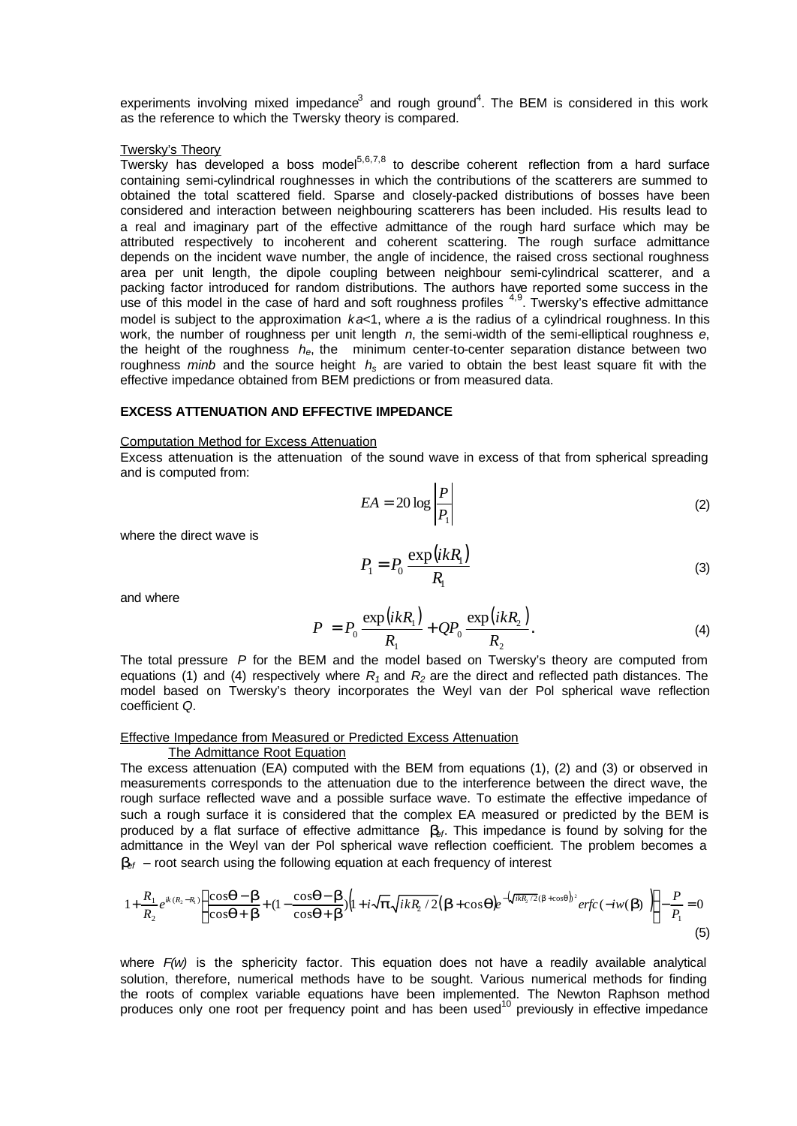experiments involving mixed impedance<sup>3</sup> and rough ground<sup>4</sup>. The BEM is considered in this work as the reference to which the Twersky theory is compared.

### Twersky's Theory

Twersky has developed a boss model $5,6,7,8$  to describe coherent reflection from a hard surface containing semi-cylindrical roughnesses in which the contributions of the scatterers are summed to obtained the total scattered field. Sparse and closely-packed distributions of bosses have been considered and interaction between neighbouring scatterers has been included. His results lead to a real and imaginary part of the effective admittance of the rough hard surface which may be attributed respectively to incoherent and coherent scattering. The rough surface admittance depends on the incident wave number, the angle of incidence, the raised cross sectional roughness area per unit length, the dipole coupling between neighbour semi-cylindrical scatterer, and a packing factor introduced for random distributions. The authors have reported some success in the use of this model in the case of hard and soft roughness profiles <sup>4,9</sup>. Twersky's effective admittance model is subject to the approximation *ka*<1, where *a* is the radius of a cylindrical roughness. In this work, the number of roughness per unit length *n*, the semi-width of the semi-elliptical roughness *e*, the height of the roughness  $h_e$ , the minimum center-to-center separation distance between two roughness *minb* and the source height *hs* are varied to obtain the best least square fit with the effective impedance obtained from BEM predictions or from measured data.

### **EXCESS ATTENUATION AND EFFECTIVE IMPEDANCE**

#### Computation Method for Excess Attenuation

Excess attenuation is the attenuation of the sound wave in excess of that from spherical spreading and is computed from:

$$
EA = 20 \log \left| \frac{P}{P_1} \right| \tag{2}
$$

where the direct wave is

$$
P_1 = P_0 \frac{\exp(ikR_1)}{R_1} \tag{3}
$$

and where

$$
P = P_0 \frac{\exp(ikR_1)}{R_1} + Q_0 \frac{\exp(ikR_2)}{R_2}.
$$
 (4)

The total pressure *P* for the BEM and the model based on Twersky's theory are computed from equations (1) and (4) respectively where  $R_1$  and  $R_2$  are the direct and reflected path distances. The model based on Twersky's theory incorporates the Weyl van der Pol spherical wave reflection coefficient *Q*.

### Effective Impedance from Measured or Predicted Excess Attenuation

## The Admittance Root Equation

The excess attenuation (EA) computed with the BEM from equations (1), (2) and (3) or observed in measurements corresponds to the attenuation due to the interference between the direct wave, the rough surface reflected wave and a possible surface wave. To estimate the effective impedance of such a rough surface it is considered that the complex EA measured or predicted by the BEM is produced by a flat surface of effective admittance *bef*. This impedance is found by solving for the admittance in the Weyl van der Pol spherical wave reflection coefficient. The problem becomes a  **– root search using the following equation at each frequency of interest** 

$$
1 + \frac{R_1}{R_2} e^{ik(R_2 - R_1)} \left\{ \frac{\cos \boldsymbol{q} - \boldsymbol{b}}{\cos \boldsymbol{q} + \boldsymbol{b}} + (1 - \frac{\cos \boldsymbol{q} - \boldsymbol{b}}{\cos \boldsymbol{q} + \boldsymbol{b}}) \left( 1 + i \sqrt{\boldsymbol{p}} \sqrt{ikR_2 / 2} (\boldsymbol{b} + \cos \boldsymbol{q}) e^{-\left( \sqrt{ikR_2 / 2} (\boldsymbol{b} + \cos \boldsymbol{q}) \right)^2} e^{i \boldsymbol{r}} f_C \left( - i w(\boldsymbol{b}) \right) \right\} - \frac{P}{P_1} = 0
$$
\n(5)

where *F(w)* is the sphericity factor. This equation does not have a readily available analytical solution, therefore, numerical methods have to be sought. Various numerical methods for finding the roots of complex variable equations have been implemented. The Newton Raphson method produces only one root per frequency point and has been used<sup>10</sup> previously in effective impedance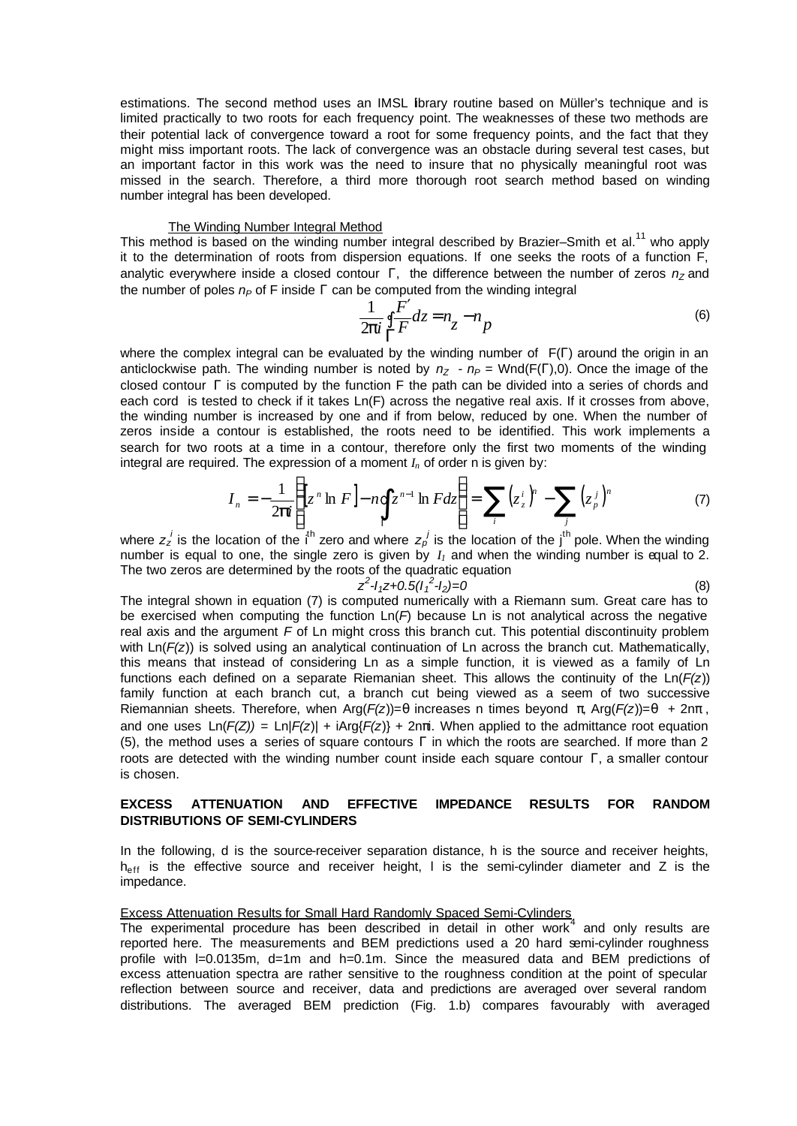estimations. The second method uses an IMSL library routine based on Müller's technique and is limited practically to two roots for each frequency point. The weaknesses of these two methods are their potential lack of convergence toward a root for some frequency points, and the fact that they might miss important roots. The lack of convergence was an obstacle during several test cases, but an important factor in this work was the need to insure that no physically meaningful root was missed in the search. Therefore, a third more thorough root search method based on winding number integral has been developed.

#### The Winding Number Integral Method

This method is based on the winding number integral described by Brazier–Smith et al.<sup>11</sup> who apply it to the determination of roots from dispersion equations. If one seeks the roots of a function F, analytic everywhere inside a closed contour Γ, the difference between the number of zeros *n<sub>7</sub>* and the number of poles *nP* of F inside Γ can be computed from the winding integral

$$
\frac{1}{2\pi i} \oint_{\Gamma} \frac{\vec{F}'}{\Gamma} dz = n_z - n_p \tag{6}
$$

where the complex integral can be evaluated by the winding number of F(Γ) around the origin in an anticlockwise path. The winding number is noted by  $n_z$  -  $n_P$  = Wnd( $F(\Gamma)$ ,0). Once the image of the closed contour  $\Gamma$  is computed by the function F the path can be divided into a series of chords and each cord is tested to check if it takes Ln(F) across the negative real axis. If it crosses from above, the winding number is increased by one and if from below, reduced by one. When the number of zeros inside a contour is established, the roots need to be identified. This work implements a search for two roots at a time in a contour, therefore only the first two moments of the winding integral are required. The expression of a moment  $I_n$  of order n is given by:  $\sqrt{ }$ 

$$
I_n = -\frac{1}{2\boldsymbol{\mu}} \left\{ \left[ z^n \ln F \right] - n \oint_{\Gamma} z^{n-1} \ln F dz \right\} = \sum_i \left( z_z^i \right)^n - \sum_j \left( z_p^j \right)^n \tag{7}
$$

where  $z^{i}_{z}$  is the location of the i<sup>th</sup> zero and where  $z^{j}_{p}$  is the location of the j<sup>th</sup> pole. When the winding number is equal to one, the single zero is given by  $I_i$  and when the winding number is equal to 2. The two zeros are determined by the roots of the quadratic equation

$$
z^2 - l_1 z + 0.5(l_1^2 - l_2) = 0 \tag{8}
$$

The integral shown in equation (7) is computed numerically with a Riemann sum. Great care has to be exercised when computing the function Ln(*F*) because Ln is not analytical across the negative real axis and the argument *F* of Ln might cross this branch cut. This potential discontinuity problem with  $Ln(F(z))$  is solved using an analytical continuation of Ln across the branch cut. Mathematically, this means that instead of considering Ln as a simple function, it is viewed as a family of Ln functions each defined on a separate Riemanian sheet. This allows the continuity of the Ln(*F(z*)) family function at each branch cut, a branch cut being viewed as a seem of two successive Riemannian sheets. Therefore, when Arg( $F(z)$ )=θ increases n times beyond  $π$ , Arg( $F(z)$ )=θ + 2nπ, and one uses  $Ln(F(Z)) = Ln[F(z)] + iArg{F(z)} + 2n\pi i$ . When applied to the admittance root equation (5), the method uses a series of square contours  $\Gamma$  in which the roots are searched. If more than 2 roots are detected with the winding number count inside each square contour Γ, a smaller contour is chosen.

## **EXCESS ATTENUATION AND EFFECTIVE IMPEDANCE RESULTS FOR RANDOM DISTRIBUTIONS OF SEMI-CYLINDERS**

In the following, d is the source-receiver separation distance, h is the source and receiver heights,  $h<sub>eff</sub>$  is the effective source and receiver height, I is the semi-cylinder diameter and Z is the impedance.

## Excess Attenuation Results for Small Hard Randomly Spaced Semi-Cylinders

The experimental procedure has been described in detail in other work $4$  and only results are reported here. The measurements and BEM predictions used a 20 hard semi-cylinder roughness profile with l=0.0135m, d=1m and h=0.1m. Since the measured data and BEM predictions of excess attenuation spectra are rather sensitive to the roughness condition at the point of specular reflection between source and receiver, data and predictions are averaged over several random distributions. The averaged BEM prediction (Fig. 1.b) compares favourably with averaged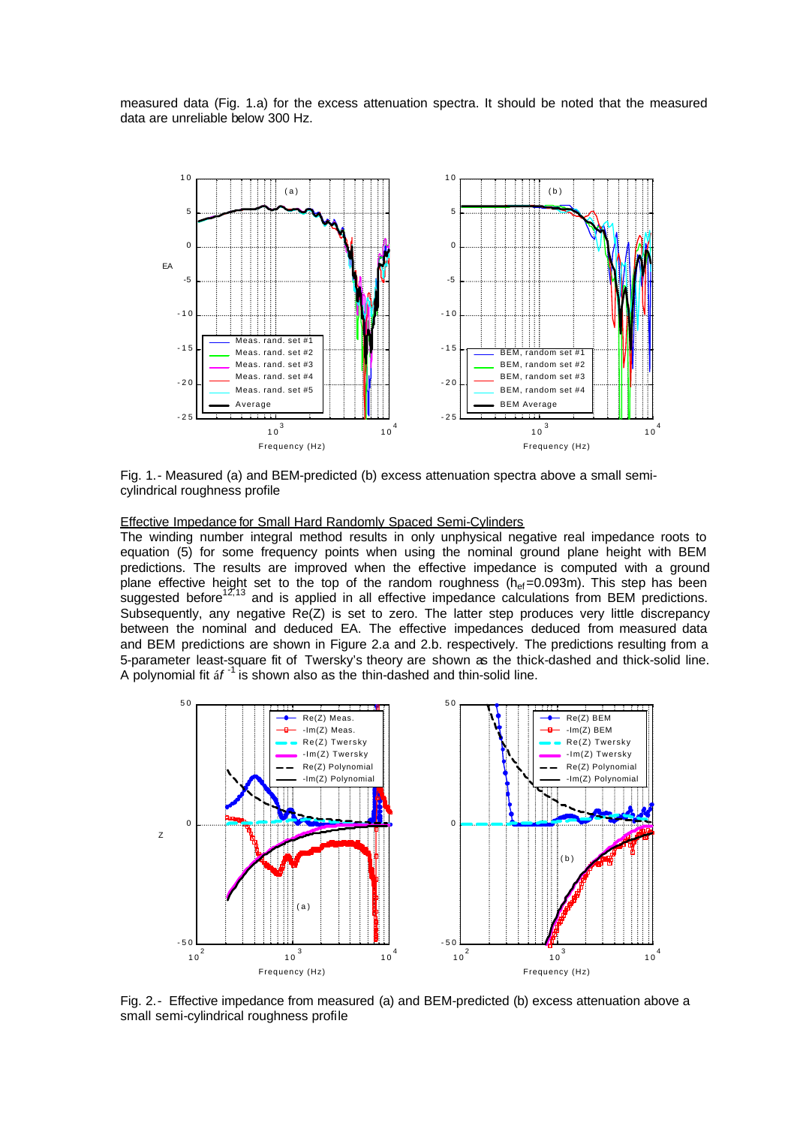measured data (Fig. 1.a) for the excess attenuation spectra. It should be noted that the measured data are unreliable below 300 Hz.



Fig. 1.- Measured (a) and BEM-predicted (b) excess attenuation spectra above a small semicylindrical roughness profile

Effective Impedance for Small Hard Randomly Spaced Semi-Cylinders

The winding number integral method results in only unphysical negative real impedance roots to equation (5) for some frequency points when using the nominal ground plane height with BEM predictions. The results are improved when the effective impedance is computed with a ground plane effective height set to the top of the random roughness ( $h_{ef}=0.093$ m). This step has been suggested before<sup>12,13</sup> and is applied in all effective impedance calculations from BEM predictions. Subsequently, any negative Re(Z) is set to zero. The latter step produces very little discrepancy between the nominal and deduced EA. The effective impedances deduced from measured data and BEM predictions are shown in Figure 2.a and 2.b. respectively. The predictions resulting from a 5-parameter least-square fit of Twersky's theory are shown as the thick-dashed and thick-solid line. A polynomial fit á*f* -1 is shown also as the thin-dashed and thin-solid line.



Fig. 2.- Effective impedance from measured (a) and BEM-predicted (b) excess attenuation above a small semi-cylindrical roughness profile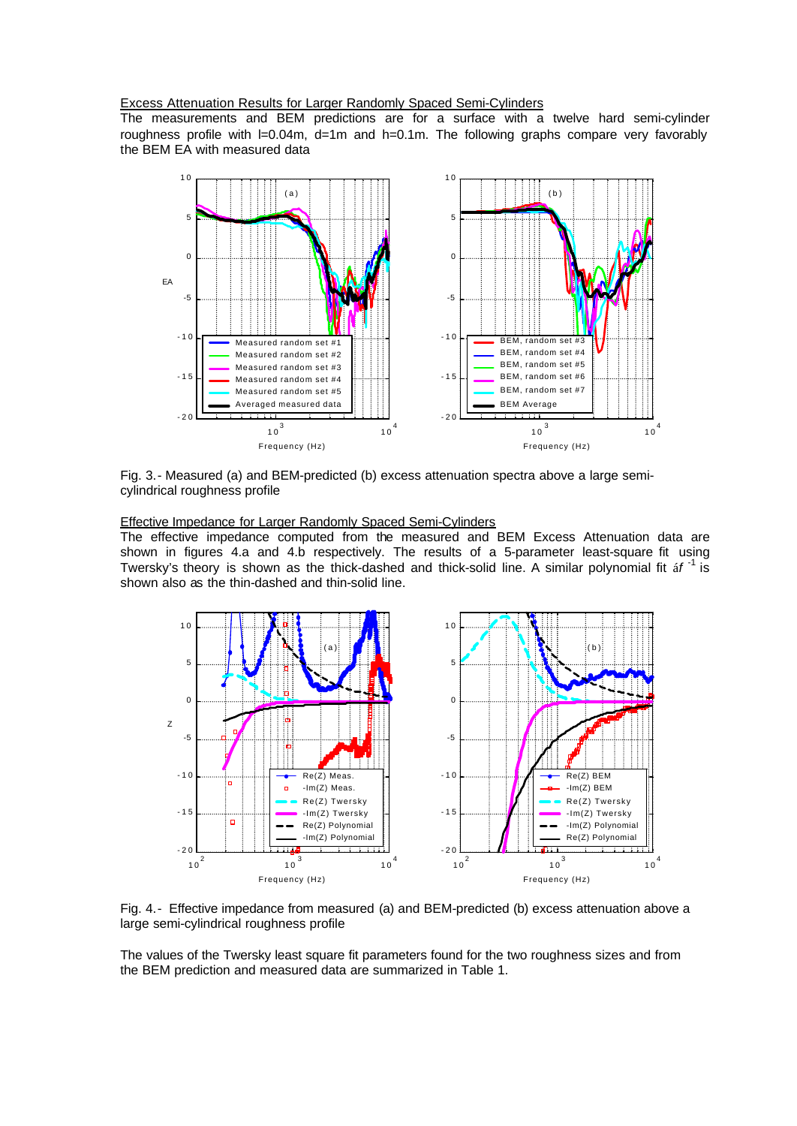### Excess Attenuation Results for Larger Randomly Spaced Semi-Cylinders

The measurements and BEM predictions are for a surface with a twelve hard semi-cylinder roughness profile with l=0.04m, d=1m and h=0.1m. The following graphs compare very favorably the BEM EA with measured data



Fig. 3.- Measured (a) and BEM-predicted (b) excess attenuation spectra above a large semicylindrical roughness profile

Effective Impedance for Larger Randomly Spaced Semi-Cylinders

The effective impedance computed from the measured and BEM Excess Attenuation data are shown in figures 4.a and 4.b respectively. The results of a 5-parameter least-square fit using Twersky's theory is shown as the thick-dashed and thick-solid line. A similar polynomial fit á*f* -1 is shown also as the thin-dashed and thin-solid line.



Fig. 4.- Effective impedance from measured (a) and BEM-predicted (b) excess attenuation above a large semi-cylindrical roughness profile

The values of the Twersky least square fit parameters found for the two roughness sizes and from the BEM prediction and measured data are summarized in Table 1.